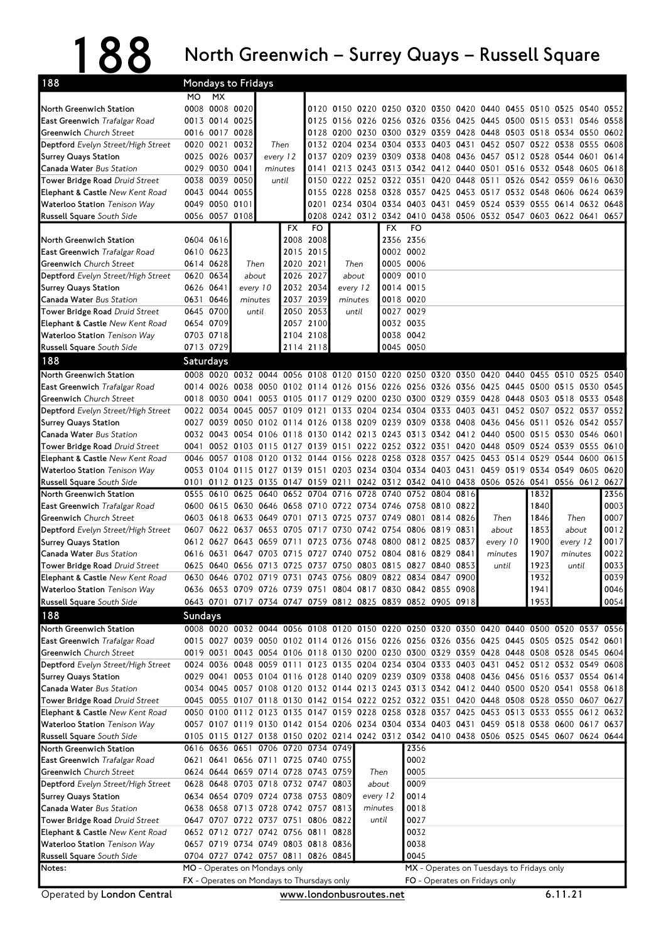## 188 North Greenwich – Surrey Quays – Russell Square

| 188                                                                          | Mondays to Fridays |                                  |                               |                     |           |                                                                          |                                                                                                                                                                                        |          |           |                        |                |  |                                              |      |              |                                       |              |
|------------------------------------------------------------------------------|--------------------|----------------------------------|-------------------------------|---------------------|-----------|--------------------------------------------------------------------------|----------------------------------------------------------------------------------------------------------------------------------------------------------------------------------------|----------|-----------|------------------------|----------------|--|----------------------------------------------|------|--------------|---------------------------------------|--------------|
|                                                                              | MO.                | <b>MX</b>                        |                               |                     |           |                                                                          |                                                                                                                                                                                        |          |           |                        |                |  |                                              |      |              |                                       |              |
| North Greenwich Station                                                      |                    | 0008 0008 0020                   |                               |                     |           |                                                                          | 0120 0150 0220 0250 0320 0350 0420 0440                                                                                                                                                |          |           |                        |                |  |                                              | 0455 |              | 0510 0525 0540 0552                   |              |
| East Greenwich Trafalgar Road                                                |                    | 0013 0014 0025                   |                               |                     |           |                                                                          | 0125 0156 0226 0256 0326 0356 0425 0445 0500 0515 0531 0546                                                                                                                            |          |           |                        |                |  |                                              |      |              |                                       | 0558         |
| <b>Greenwich</b> Church Street                                               |                    | 0016 0017 0028                   |                               |                     |           |                                                                          | 0128 0200 0230 0300 0329 0359 0428 0448 0503 0518 0534 0550 0602                                                                                                                       |          |           |                        |                |  |                                              |      |              |                                       |              |
| Deptford Evelyn Street/High Street                                           |                    | 0020 0021                        | 0032                          | Then                |           |                                                                          | 0132 0204 0234 0304 0333 0403 0431 0452 0507 0522 0538 0555 0608                                                                                                                       |          |           |                        |                |  |                                              |      |              |                                       |              |
| <b>Surrey Quays Station</b><br>Canada Water Bus Station                      |                    | 0025 0026 0037<br>0029 0030 0041 |                               | every 12<br>minutes |           | 0137                                                                     | 0209 0239 0309 0338 0408 0436 0457 0512 0528 0544 0601 0614<br>0141 0213 0243 0313 0342 0412 0440 0501 0516 0532 0548 0605 0618                                                        |          |           |                        |                |  |                                              |      |              |                                       |              |
| Tower Bridge Road Druid Street                                               |                    | 0038 0039 0050                   |                               |                     | until     |                                                                          | 0150 0222 0252 0322 0351 0420 0448 0511                                                                                                                                                |          |           |                        |                |  |                                              |      |              | 0526 0542 0559 0616                   | 0630         |
| <b>Elephant &amp; Castle New Kent Road</b>                                   |                    | 0043 0044 0055                   |                               |                     |           | 0155                                                                     | 0228 0258 0328                                                                                                                                                                         |          |           |                        |                |  | 0357 0425 0453 0517 0532 0548 0606 0624 0639 |      |              |                                       |              |
| <b>Waterloo Station</b> Tenison Way                                          |                    | 0049 0050 0101                   |                               |                     |           | 0201                                                                     | 0234 0304 0334 0403 0431 0459 0524 0539 0555 0614 0632 0648                                                                                                                            |          |           |                        |                |  |                                              |      |              |                                       |              |
| Russell Square South Side                                                    |                    | 0056 0057 0108                   |                               |                     |           |                                                                          | 0208 0242 0312 0342 0410 0438 0506 0532 0547 0603 0622 0641 0657                                                                                                                       |          |           |                        |                |  |                                              |      |              |                                       |              |
|                                                                              |                    |                                  |                               |                     | FX        | FO                                                                       |                                                                                                                                                                                        |          | <b>FX</b> | FO                     |                |  |                                              |      |              |                                       |              |
| North Greenwich Station                                                      |                    | 0604 0616                        |                               |                     |           | 2008 2008                                                                |                                                                                                                                                                                        |          |           | 2356 2356              |                |  |                                              |      |              |                                       |              |
| <b>East Greenwich Trafalgar Road</b>                                         |                    | 0610 0623                        |                               |                     |           | 2015 2015                                                                |                                                                                                                                                                                        |          |           | 0002 0002              |                |  |                                              |      |              |                                       |              |
| <b>Greenwich</b> Church Street                                               |                    | 0614 0628                        |                               | Then                | 2020 2021 | 2026 2027                                                                | Then<br>about                                                                                                                                                                          |          |           | 0005 0006<br>0009 0010 |                |  |                                              |      |              |                                       |              |
| Deptford Evelyn Street/High Street<br><b>Surrey Quays Station</b>            | 0626 0641          | 0620 0634                        |                               | about<br>every 10   |           | 2032 2034                                                                | every 12                                                                                                                                                                               |          | 0014 0015 |                        |                |  |                                              |      |              |                                       |              |
| Canada Water Bus Station                                                     |                    | 0631 0646                        |                               | minutes             |           | 2037 2039                                                                | minutes                                                                                                                                                                                |          |           | 0018 0020              |                |  |                                              |      |              |                                       |              |
| Tower Bridge Road Druid Street                                               |                    | 0645 0700                        |                               | until               |           | 2050 2053                                                                |                                                                                                                                                                                        | until    |           | 0027 0029              |                |  |                                              |      |              |                                       |              |
| Elephant & Castle New Kent Road                                              |                    | 0654 0709                        |                               |                     |           | 2057 2100                                                                |                                                                                                                                                                                        |          | 0032 0035 |                        |                |  |                                              |      |              |                                       |              |
| <b>Waterloo Station</b> Tenison Way                                          |                    | 0703 0718                        |                               |                     |           | 2104 2108                                                                |                                                                                                                                                                                        |          |           | 0038 0042              |                |  |                                              |      |              |                                       |              |
| <b>Russell Square</b> South Side                                             |                    | 0713 0729                        |                               |                     |           | 2114 2118                                                                |                                                                                                                                                                                        |          | 0045 0050 |                        |                |  |                                              |      |              |                                       |              |
| 188                                                                          | Saturdays          |                                  |                               |                     |           |                                                                          |                                                                                                                                                                                        |          |           |                        |                |  |                                              |      |              |                                       |              |
| North Greenwich Station                                                      |                    |                                  |                               |                     |           |                                                                          | 0008 0020 0032 0044 0056 0108 0120 0150 0220 0250 0320 0350 0420 0440 0455 0510 0525 0540                                                                                              |          |           |                        |                |  |                                              |      |              |                                       |              |
| East Greenwich Trafalgar Road                                                |                    |                                  |                               |                     |           |                                                                          | 0014 0026 0038 0050 0102 0114 0126 0156 0226 0256 0326 0356 0425 0445 0500 0515 0530                                                                                                   |          |           |                        |                |  |                                              |      |              |                                       | 0545         |
| Greenwich Church Street                                                      |                    |                                  | 0018 0030 0041                |                     |           |                                                                          | 0053 0105 0117 0129 0200 0230 0300 0329 0359 0428                                                                                                                                      |          |           |                        |                |  |                                              |      |              | 0448 0503 0518 0533 0548              |              |
| Deptford Evelyn Street/High Street                                           |                    |                                  |                               |                     |           |                                                                          | 0022 0034 0045 0057 0109 0121 0133 0204 0234 0304 0333 0403 0431 0452 0507 0522 0537 0552                                                                                              |          |           |                        |                |  |                                              |      |              |                                       |              |
| <b>Surrey Quays Station</b>                                                  |                    |                                  |                               |                     |           |                                                                          | 0027 0039 0050 0102 0114 0126 0138 0209 0239 0309 0338 0408 0436                                                                                                                       |          |           |                        |                |  |                                              |      |              | 0456 0511 0526 0542 0557              |              |
| Canada Water Bus Station                                                     |                    |                                  |                               |                     |           |                                                                          | 0032 0043 0054 0106 0118 0130 0142 0213 0243 0313 0342 0412 0440 0500 0515 0530 0546 0601                                                                                              |          |           |                        |                |  |                                              |      |              |                                       |              |
| Tower Bridge Road Druid Street<br><b>Elephant &amp; Castle New Kent Road</b> | 0046               |                                  |                               |                     |           |                                                                          | 0041 0052 0103 0115 0127 0139 0151 0222 0252 0322 0351 0420 0448<br>0057 0108 0120 0132 0144 0156 0228 0258 0328 0357 0425 0453 0514                                                   |          |           |                        |                |  |                                              | 0509 |              | 0524 0539 0555 0610<br>0529 0544 0600 | 0615         |
| <b>Waterloo Station</b> Tenison Way                                          |                    |                                  |                               |                     |           |                                                                          | 0053 0104 0115 0127 0139 0151 0203 0234 0304 0334 0403 0431 0459 0519 0534 0549 0605                                                                                                   |          |           |                        |                |  |                                              |      |              |                                       | 0620         |
| <b>Russell Square</b> South Side                                             |                    |                                  |                               |                     |           | 0101 0112 0123 0135 0147 0159 0211                                       |                                                                                                                                                                                        |          |           |                        |                |  | 0242 0312 0342 0410 0438 0506 0526 0541      |      |              | 0556 0612                             | 0627         |
| North Greenwich Station                                                      | 0555               |                                  |                               |                     |           |                                                                          | 0610 0625 0640 0652 0704 0716 0728 0740                                                                                                                                                |          |           |                        | 0752 0804 0816 |  |                                              |      | 1832         |                                       | 2356         |
| East Greenwich Trafalgar Road                                                |                    |                                  |                               |                     |           |                                                                          | 0600 0615 0630 0646 0658 0710 0722 0734 0746 0758 0810 0822                                                                                                                            |          |           |                        |                |  |                                              |      | 1840         |                                       | 0003         |
| <b>Greenwich</b> Church Street                                               |                    |                                  |                               |                     |           |                                                                          | 0603 0618 0633 0649 0701 0713 0725 0737 0749 0801 0814 0826                                                                                                                            |          |           |                        |                |  | Then                                         |      | 1846         | Then                                  | 0007         |
| Deptford Evelyn Street/High Street                                           |                    |                                  |                               |                     |           |                                                                          | 0607 0622 0637 0653 0705 0717 0730 0742 0754 0806 0819 0831                                                                                                                            |          |           |                        |                |  | about                                        |      | 1853         | about                                 | 0012         |
| <b>Surrey Quays Station</b>                                                  |                    | 0612 0627                        |                               | 0643 0659 0711      |           |                                                                          | 0723 0736 0748 0800                                                                                                                                                                    |          |           | 0812 0825 0837         |                |  | every 10                                     |      | 1900         | every 12                              | 0017         |
| Canada Water Bus Station                                                     | 0616               | 0631                             |                               | 0647 0703 0715      |           | 0727                                                                     | 0740 0752 0804                                                                                                                                                                         |          |           | 0816 0829 0841         |                |  | minutes                                      |      | 1907         | minutes                               | 0022         |
| Tower Bridge Road Druid Street                                               |                    |                                  |                               |                     |           |                                                                          | 0625 0640 0656 0713 0725 0737 0750 0803 0815 0827 0840 0853                                                                                                                            |          |           |                        |                |  | until                                        |      | 1923         | until                                 | 0033         |
| Elephant & Castle New Kent Road                                              |                    |                                  |                               |                     |           |                                                                          | 0630 0646 0702 0719 0731 0743 0756 0809 0822 0834 0847 0900                                                                                                                            |          |           |                        |                |  |                                              |      | 1932         |                                       | 0039         |
| Waterloo Station Tenison Way<br>Russell Square South Side                    |                    |                                  |                               |                     |           |                                                                          | 0636 0653 0709 0726 0739 0751 0804 0817 0830 0842 0855 0908<br>0643 0701 0717 0734 0747 0759 0812 0825 0839 0852 0905 0918                                                             |          |           |                        |                |  |                                              |      | 1941<br>1953 |                                       | 0046<br>0054 |
| 188                                                                          |                    |                                  |                               |                     |           |                                                                          |                                                                                                                                                                                        |          |           |                        |                |  |                                              |      |              |                                       |              |
|                                                                              | Sundays            |                                  |                               |                     |           |                                                                          |                                                                                                                                                                                        |          |           |                        |                |  |                                              |      |              |                                       |              |
| North Greenwich Station<br>East Greenwich Trafalgar Road                     |                    |                                  |                               |                     |           |                                                                          | 0008 0020 0032 0044 0056 0108 0120 0150 0220 0250 0320 0350 0420 0440 0500 0520 0537 0556<br>0015 0027 0039 0050 0102 0114 0126 0156 0226 0256 0326 0356 0425 0445 0505 0525 0542 0601 |          |           |                        |                |  |                                              |      |              |                                       |              |
| <b>Greenwich</b> Church Street                                               |                    |                                  |                               |                     |           |                                                                          | 0019 0031 0043 0054 0106 0118 0130 0200 0230 0300 0329 0359 0428 0448 0508 0528 0545 0604                                                                                              |          |           |                        |                |  |                                              |      |              |                                       |              |
| Deptford Evelyn Street/High Street                                           |                    |                                  |                               |                     |           |                                                                          | 0024 0036 0048 0059 0111 0123 0135 0204 0234 0304 0333 0403 0431 0452 0512 0532 0549 0608                                                                                              |          |           |                        |                |  |                                              |      |              |                                       |              |
| <b>Surrey Quays Station</b>                                                  |                    |                                  |                               |                     |           |                                                                          | 0029 0041 0053 0104 0116 0128 0140 0209 0239 0309 0338 0408 0436 0456 0516 0537 0554 0614                                                                                              |          |           |                        |                |  |                                              |      |              |                                       |              |
| Canada Water Bus Station                                                     |                    |                                  |                               |                     |           |                                                                          | 0034 0045 0057 0108 0120 0132 0144 0213 0243 0313 0342 0412 0440 0500 0520 0541 0558 0618                                                                                              |          |           |                        |                |  |                                              |      |              |                                       |              |
| Tower Bridge Road Druid Street                                               |                    |                                  |                               |                     |           |                                                                          | 0045 0055 0107 0118 0130 0142 0154 0222 0252 0322 0351 0420 0448 0508 0528 0550 0607 0627                                                                                              |          |           |                        |                |  |                                              |      |              |                                       |              |
| Elephant & Castle New Kent Road                                              |                    |                                  |                               |                     |           |                                                                          | 0050 0100 0112 0123 0135 0147 0159 0228 0258 0328 0357 0425 0453 0513 0533 0555 0612 0632                                                                                              |          |           |                        |                |  |                                              |      |              |                                       |              |
| Waterloo Station Tenison Way                                                 |                    |                                  |                               |                     |           |                                                                          | 0057 0107 0119 0130 0142 0154 0206 0234 0304 0334 0403 0431 0459 0518 0538 0600 0617 0637                                                                                              |          |           |                        |                |  |                                              |      |              |                                       |              |
| Russell Square South Side                                                    |                    |                                  |                               |                     |           |                                                                          | 0105 0115 0127 0138 0150 0202 0214 0242 0312 0342 0410 0438 0506 0525 0545 0607 0624 0644                                                                                              |          |           |                        |                |  |                                              |      |              |                                       |              |
| North Greenwich Station                                                      |                    |                                  |                               |                     |           | 0616 0636 0651 0706 0720 0734 0749                                       |                                                                                                                                                                                        |          |           | 2356<br>0002           |                |  |                                              |      |              |                                       |              |
| East Greenwich Trafalgar Road<br><b>Greenwich</b> Church Street              |                    |                                  |                               |                     |           | 0621 0641 0656 0711 0725 0740 0755<br>0624 0644 0659 0714 0728 0743 0759 |                                                                                                                                                                                        | Then     |           | 0005                   |                |  |                                              |      |              |                                       |              |
| Deptford Evelyn Street/High Street                                           |                    |                                  |                               |                     |           | 0628 0648 0703 0718 0732 0747 0803                                       |                                                                                                                                                                                        |          | about     | 0009                   |                |  |                                              |      |              |                                       |              |
| <b>Surrey Quays Station</b>                                                  |                    |                                  |                               |                     |           | 0634 0654 0709 0724 0738 0753 0809                                       |                                                                                                                                                                                        | every 12 |           | 0014                   |                |  |                                              |      |              |                                       |              |
| Canada Water Bus Station                                                     |                    |                                  |                               |                     |           | 0638 0658 0713 0728 0742 0757 0813                                       |                                                                                                                                                                                        | minutes  |           | 0018                   |                |  |                                              |      |              |                                       |              |
| Tower Bridge Road Druid Street                                               |                    |                                  |                               |                     |           | 0647 0707 0722 0737 0751 0806 0822                                       |                                                                                                                                                                                        |          | until     | 0027                   |                |  |                                              |      |              |                                       |              |
| Elephant & Castle New Kent Road                                              |                    |                                  |                               |                     |           | 0652 0712 0727 0742 0756 0811 0828                                       |                                                                                                                                                                                        |          |           | 0032                   |                |  |                                              |      |              |                                       |              |
| Waterloo Station Tenison Way                                                 |                    |                                  |                               |                     |           | 0657 0719 0734 0749 0803 0818 0836                                       |                                                                                                                                                                                        |          |           | 0038                   |                |  |                                              |      |              |                                       |              |
| Russell Square South Side                                                    |                    |                                  |                               |                     |           | 0704 0727 0742 0757 0811 0826 0845                                       |                                                                                                                                                                                        |          |           | 0045                   |                |  |                                              |      |              |                                       |              |
| Notes:                                                                       |                    |                                  | MO - Operates on Mondays only |                     |           |                                                                          |                                                                                                                                                                                        |          |           |                        |                |  | MX - Operates on Tuesdays to Fridays only    |      |              |                                       |              |
|                                                                              |                    |                                  |                               |                     |           | FX - Operates on Mondays to Thursdays only                               |                                                                                                                                                                                        |          |           |                        |                |  | FO - Operates on Fridays only                |      |              |                                       |              |
| Operated by London Central                                                   |                    |                                  |                               |                     |           | www.londonbusroutes.net                                                  |                                                                                                                                                                                        |          |           |                        |                |  |                                              |      |              | 6.11.21                               |              |